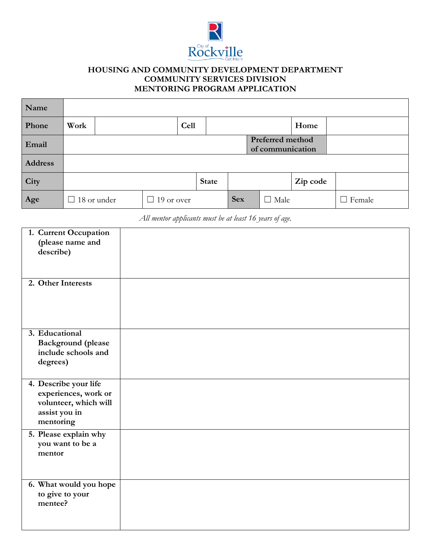

## **HOUSING AND COMMUNITY DEVELOPMENT DEPARTMENT COMMUNITY SERVICES DIVISION MENTORING PROGRAM APPLICATION**

| Name    |      |                                      |                   |             |              |            |  |             |          |                             |
|---------|------|--------------------------------------|-------------------|-------------|--------------|------------|--|-------------|----------|-----------------------------|
| Phone   | Work |                                      |                   | <b>Cell</b> |              |            |  |             | Home     |                             |
| Email   |      | Preferred method<br>of communication |                   |             |              |            |  |             |          |                             |
| Address |      |                                      |                   |             |              |            |  |             |          |                             |
| City    |      |                                      |                   |             | <b>State</b> |            |  |             | Zip code |                             |
| Age     |      | 18 or under                          | $\Box$ 19 or over |             |              | <b>Sex</b> |  | $\Box$ Male |          | Female<br>$\vert \ \ \vert$ |

*All mentor applicants must be at least 16 years of age.*

| 1. Current Occupation<br>(please name and<br>describe)<br>2. Other Interests                         |  |
|------------------------------------------------------------------------------------------------------|--|
|                                                                                                      |  |
| 3. Educational<br><b>Background</b> (please<br>include schools and<br>degrees)                       |  |
| 4. Describe your life<br>experiences, work or<br>volunteer, which will<br>assist you in<br>mentoring |  |
| 5. Please explain why<br>you want to be a<br>mentor                                                  |  |
| 6. What would you hope<br>to give to your<br>mentee?                                                 |  |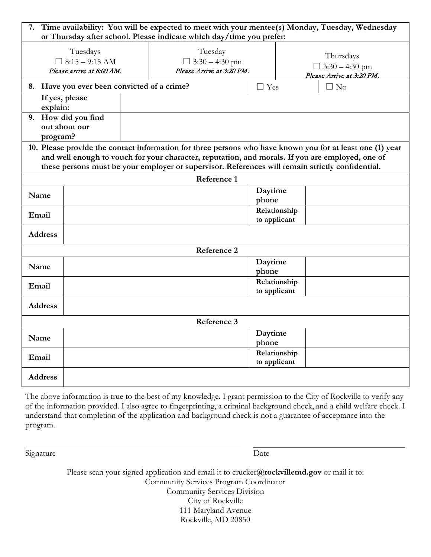| 7. Time availability: You will be expected to meet with your mentee(s) Monday, Tuesday, Wednesday<br>or Thursday after school. Please indicate which day/time you prefer:                                                                                                                                         |                                                                |                                                               |                              |                              |                                                                 |  |  |  |
|-------------------------------------------------------------------------------------------------------------------------------------------------------------------------------------------------------------------------------------------------------------------------------------------------------------------|----------------------------------------------------------------|---------------------------------------------------------------|------------------------------|------------------------------|-----------------------------------------------------------------|--|--|--|
|                                                                                                                                                                                                                                                                                                                   | Tuesdays<br>$\Box$ 8:15 - 9:15 AM<br>Please arrive at 8:00 AM. | Tuesday<br>$\Box$ 3:30 – 4:30 pm<br>Please Arrive at 3:20 PM. |                              |                              | Thursdays<br>$\Box$ 3:30 – 4:30 pm<br>Please Arrive at 3:20 PM. |  |  |  |
|                                                                                                                                                                                                                                                                                                                   | 8. Have you ever been convicted of a crime?                    |                                                               | $\Box$ Yes                   |                              | $\Box$ No                                                       |  |  |  |
| explain:                                                                                                                                                                                                                                                                                                          | If yes, please                                                 |                                                               |                              |                              |                                                                 |  |  |  |
| program?                                                                                                                                                                                                                                                                                                          | 9. How did you find<br>out about our                           |                                                               |                              |                              |                                                                 |  |  |  |
| 10. Please provide the contact information for three persons who have known you for at least one (1) year<br>and well enough to vouch for your character, reputation, and morals. If you are employed, one of<br>these persons must be your employer or supervisor. References will remain strictly confidential. |                                                                |                                                               |                              |                              |                                                                 |  |  |  |
|                                                                                                                                                                                                                                                                                                                   |                                                                | Reference 1                                                   |                              |                              |                                                                 |  |  |  |
| Name                                                                                                                                                                                                                                                                                                              |                                                                |                                                               | Daytime<br>phone             |                              |                                                                 |  |  |  |
| Email                                                                                                                                                                                                                                                                                                             |                                                                |                                                               |                              | Relationship<br>to applicant |                                                                 |  |  |  |
| <b>Address</b>                                                                                                                                                                                                                                                                                                    |                                                                |                                                               |                              |                              |                                                                 |  |  |  |
| Reference 2                                                                                                                                                                                                                                                                                                       |                                                                |                                                               |                              |                              |                                                                 |  |  |  |
| Name                                                                                                                                                                                                                                                                                                              |                                                                |                                                               | Daytime<br>phone             |                              |                                                                 |  |  |  |
| Email                                                                                                                                                                                                                                                                                                             |                                                                |                                                               | Relationship<br>to applicant |                              |                                                                 |  |  |  |
| <b>Address</b>                                                                                                                                                                                                                                                                                                    |                                                                |                                                               |                              |                              |                                                                 |  |  |  |
| Reference 3                                                                                                                                                                                                                                                                                                       |                                                                |                                                               |                              |                              |                                                                 |  |  |  |
| Name                                                                                                                                                                                                                                                                                                              |                                                                |                                                               | Daytime<br>phone             |                              |                                                                 |  |  |  |
| Email                                                                                                                                                                                                                                                                                                             |                                                                |                                                               | Relationship<br>to applicant |                              |                                                                 |  |  |  |
| <b>Address</b>                                                                                                                                                                                                                                                                                                    |                                                                |                                                               |                              |                              |                                                                 |  |  |  |

The above information is true to the best of my knowledge. I grant permission to the City of Rockville to verify any of the information provided. I also agree to fingerprinting, a criminal background check, and a child welfare check. I understand that completion of the application and background check is not a guarantee of acceptance into the program.

Signature Date

Please scan your signed application and email it to crucker**@rockvillemd.gov** or mail it to: Community Services Program Coordinator Community Services Division City of Rockville 111 Maryland Avenue Rockville, MD 20850